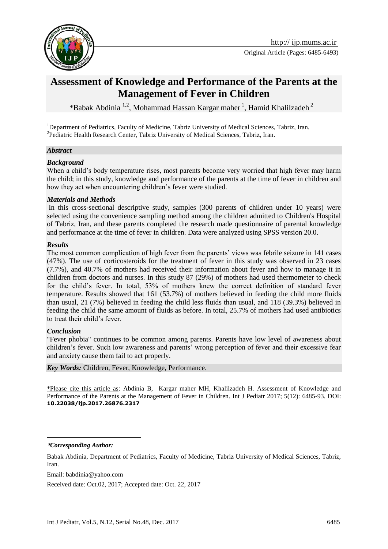

# **Assessment of Knowledge and Performance of the Parents at the Management of Fever in Children**

\*Babak Abdinia<sup>1,2</sup>, [Mohammad Hassan Kargar maher](http://ijp.mums.ac.ir/?_action=article&au=26167&_au=Mohammad+Hassan++Kargar+maher)<sup>1</sup>, Hamid Khalilzadeh<sup>2</sup>

<sup>1</sup>Department of Pediatrics, Faculty of Medicine, Tabriz University of Medical Sciences, Tabriz, Iran. <sup>2</sup> Pediatric Health Research Center, Tabriz University of Medical Sciences, Tabriz, Iran.

#### *Abstract*

#### *Background*

When a child's body temperature rises, most parents become very worried that high fever may harm the child; in this study, knowledge and performance of the parents at the time of fever in children and how they act when encountering children's fever were studied.

#### *Materials and Methods*

In this cross-sectional descriptive study, samples (300 parents of children under 10 years) were selected using the convenience sampling method among the children admitted to Children's Hospital of Tabriz, Iran, and these parents completed the research made questionnaire of parental knowledge and performance at the time of fever in children. Data were analyzed using SPSS version 20.0.

#### *Results*

The most common complication of high fever from the parents' views was febrile seizure in 141 cases (47%). The use of corticosteroids for the treatment of fever in this study was observed in 23 cases (7.7%), and 40.7% of mothers had received their information about fever and how to manage it in children from doctors and nurses. In this study 87 (29%) of mothers had used thermometer to check for the child's fever. In total, 53% of mothers knew the correct definition of standard fever temperature. Results showed that 161 (53.7%) of mothers believed in feeding the child more fluids than usual, 21 (7%) believed in feeding the child less fluids than usual, and 118 (39.3%) believed in feeding the child the same amount of fluids as before. In total, 25.7% of mothers had used antibiotics to treat their child's fever.

#### *Conclusion*

"Fever phobia" continues to be common among parents. Parents have low level of awareness about children's fever. Such low awareness and parents' wrong perception of fever and their excessive fear and anxiety cause them fail to act properly.

#### *Key Words:* Children, Fever, Knowledge, Performance.

\*Please cite this article as: Abdinia B, [Kargar maher](http://ijp.mums.ac.ir/?_action=article&au=26167&_au=Mohammad+Hassan++Kargar+maher) MH, Khalilzadeh H. Assessment of Knowledge and Performance of the Parents at the Management of Fever in Children. Int J Pediatr 2017; 5(12): 6485-93. DOI: **10.22038/ijp.2017.26876.2317**

**\****Corresponding Author:*

1

Email: babdinia@yahoo.com

Received date: Oct.02, 2017; Accepted date: Oct. 22, 2017

Babak Abdinia, Department of Pediatrics, Faculty of Medicine, Tabriz University of Medical Sciences, Tabriz, Iran.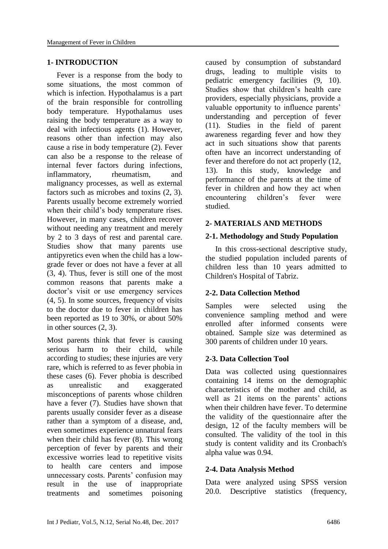### **1- INTRODUCTION**

 Fever is a response from the body to some situations, the most common of which is infection. Hypothalamus is a part of the brain responsible for controlling body temperature. Hypothalamus uses raising the body temperature as a way to deal with infectious agents (1). However, reasons other than infection may also cause a rise in body temperature (2). Fever can also be a response to the release of internal fever factors during infections, inflammatory, rheumatism, and malignancy processes, as well as external factors such as microbes and toxins (2, 3). Parents usually become extremely worried when their child's body temperature rises. However, in many cases, children recover without needing any treatment and merely by 2 to 3 days of rest and parental care. Studies show that many parents use antipyretics even when the child has a lowgrade fever or does not have a fever at all (3, 4). Thus, fever is still one of the most common reasons that parents make a doctor's visit or use emergency services (4, 5). In some sources, frequency of visits to the doctor due to fever in children has been reported as 19 to 30%, or about 50% in other sources (2, 3).

Most parents think that fever is causing serious harm to their child, while according to studies; these injuries are very rare, which is referred to as fever phobia in these cases (6). Fever phobia is described as unrealistic and exaggerated misconceptions of parents whose children have a fever (7). Studies have shown that parents usually consider fever as a disease rather than a symptom of a disease, and, even sometimes experience unnatural fears when their child has fever (8). This wrong perception of fever by parents and their excessive worries lead to repetitive visits to health care centers and impose unnecessary costs. Parents' confusion may result in the use of inappropriate treatments and sometimes poisoning caused by consumption of substandard drugs, leading to multiple visits to pediatric emergency facilities (9, 10). Studies show that children's health care providers, especially physicians, provide a valuable opportunity to influence parents' understanding and perception of fever (11). Studies in the field of parent awareness regarding fever and how they act in such situations show that parents often have an incorrect understanding of fever and therefore do not act properly (12, 13). In this study, knowledge and performance of the parents at the time of fever in children and how they act when encountering children's fever were studied.

#### **2- MATERIALS AND METHODS**

#### **2-1. Methodology and Study Population**

 In this cross-sectional descriptive study, the studied population included parents of children less than 10 years admitted to Children's Hospital of Tabriz.

### **2-2. Data Collection Method**

Samples were selected using the convenience sampling method and were enrolled after informed consents were obtained. Sample size was determined as 300 parents of children under 10 years.

### **2-3. Data Collection Tool**

Data was collected using questionnaires containing 14 items on the demographic characteristics of the mother and child, as well as 21 items on the parents' actions when their children have fever. To determine the validity of the questionnaire after the design, 12 of the faculty members will be consulted. The validity of the tool in this study is content validity and its Cronbach's alpha value was 0.94.

### **2-4. Data Analysis Method**

Data were analyzed using SPSS version 20.0. Descriptive statistics (frequency,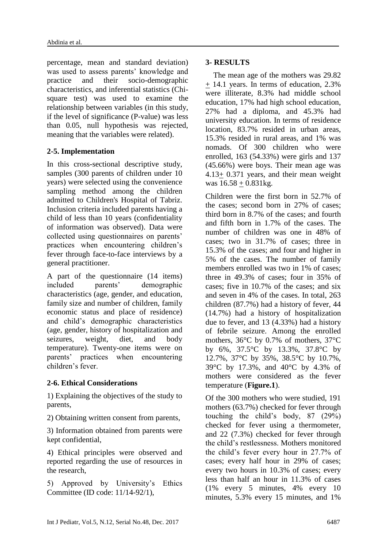percentage, mean and standard deviation) was used to assess parents' knowledge and practice and their socio-demographic characteristics, and inferential statistics (Chisquare test) was used to examine the relationship between variables (in this study, if the level of significance (P-value) was less than 0.05, null hypothesis was rejected, meaning that the variables were related).

### **2-5. Implementation**

In this cross-sectional descriptive study, samples (300 parents of children under 10 years) were selected using the convenience sampling method among the children admitted to Children's Hospital of Tabriz. Inclusion criteria included parents having a child of less than 10 years (confidentiality of information was observed). Data were collected using questionnaires on parents' practices when encountering children's fever through face-to-face interviews by a general practitioner.

A part of the questionnaire (14 items) included parents' demographic characteristics (age, gender, and education, family size and number of children, family economic status and place of residence) and child's demographic characteristics (age, gender, history of hospitalization and seizures, weight, diet, and body temperature). Twenty-one items were on parents' practices when encountering children's fever.

# **2-6. Ethical Considerations**

1) Explaining the objectives of the study to parents,

2) Obtaining written consent from parents,

3) Information obtained from parents were kept confidential,

4) Ethical principles were observed and reported regarding the use of resources in the research,

5) Approved by University's Ethics Committee (ID code: 11/14-92/1),

## **3- RESULTS**

 The mean age of the mothers was 29.82 + 14.1 years. In terms of education, 2.3% were illiterate, 8.3% had middle school education, 17% had high school education, 27% had a diploma, and 45.3% had university education. In terms of residence location, 83.7% resided in urban areas, 15.3% resided in rural areas, and 1% was nomads. Of 300 children who were enrolled, 163 (54.33%) were girls and 137 (45.66%) were boys. Their mean age was 4.13+ 0.371 years, and their mean weight was  $16.58 + 0.831$ kg.

Children were the first born in 52.7% of the cases; second born in 27% of cases; third born in 8.7% of the cases; and fourth and fifth born in 1.7% of the cases. The number of children was one in 48% of cases; two in 31.7% of cases; three in 15.3% of the cases; and four and higher in 5% of the cases. The number of family members enrolled was two in 1% of cases; three in 49.3% of cases; four in 35% of cases; five in 10.7% of the cases; and six and seven in 4% of the cases. In total, 263 children (87.7%) had a history of fever, 44 (14.7%) had a history of hospitalization due to fever, and 13 (4.33%) had a history of febrile seizure. Among the enrolled mothers, 36°C by 0.7% of mothers, 37°C by 6%, 37.5°C by 13.3%, 37.8°C by 12.7%, 37°C by 35%, 38.5°C by 10.7%, 39°C by 17.3%, and 40°C by 4.3% of mothers were considered as the fever temperature (**Figure.1**).

Of the 300 mothers who were studied, 191 mothers (63.7%) checked for fever through touching the child's body, 87 (29%) checked for fever using a thermometer, and 22 (7.3%) checked for fever through the child's restlessness. Mothers monitored the child's fever every hour in 27.7% of cases; every half hour in 29% of cases; every two hours in 10.3% of cases; every less than half an hour in 11.3% of cases (1% every 5 minutes, 4% every 10 minutes, 5.3% every 15 minutes, and 1%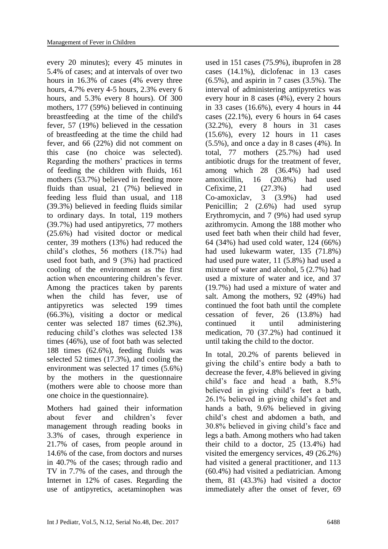every 20 minutes); every 45 minutes in 5.4% of cases; and at intervals of over two hours in 16.3% of cases (4% every three hours, 4.7% every 4-5 hours, 2.3% every 6 hours, and 5.3% every 8 hours). Of 300 mothers, 177 (59%) believed in continuing breastfeeding at the time of the child's fever, 57 (19%) believed in the cessation of breastfeeding at the time the child had fever, and 66 (22%) did not comment on this case (no choice was selected). Regarding the mothers' practices in terms of feeding the children with fluids, 161 mothers (53.7%) believed in feeding more fluids than usual, 21 (7%) believed in feeding less fluid than usual, and 118 (39.3%) believed in feeding fluids similar to ordinary days. In total, 119 mothers (39.7%) had used antipyretics, 77 mothers (25.6%) had visited doctor or medical center, 39 mothers (13%) had reduced the child's clothes, 56 mothers (18.7%) had used foot bath, and 9 (3%) had practiced cooling of the environment as the first action when encountering children's fever. Among the practices taken by parents when the child has fever, use of antipyretics was selected 199 times (66.3%), visiting a doctor or medical center was selected 187 times (62.3%), reducing child's clothes was selected 138 times (46%), use of foot bath was selected 188 times (62.6%), feeding fluids was selected 52 times (17.3%), and cooling the environment was selected 17 times (5.6%) by the mothers in the questionnaire (mothers were able to choose more than one choice in the questionnaire).

Mothers had gained their information about fever and children's fever management through reading books in 3.3% of cases, through experience in 21.7% of cases, from people around in 14.6% of the case, from doctors and nurses in 40.7% of the cases; through radio and TV in 7.7% of the cases, and through the Internet in 12% of cases. Regarding the use of antipyretics, acetaminophen was

used in 151 cases (75.9%), ibuprofen in 28 cases (14.1%), diclofenac in 13 cases (6.5%), and aspirin in 7 cases (3.5%). The interval of administering antipyretics was every hour in 8 cases (4%), every 2 hours in 33 cases (16.6%), every 4 hours in 44 cases (22.1%), every 6 hours in 64 cases (32.2%), every 8 hours in 31 cases (15.6%), every 12 hours in 11 cases  $(5.5\%)$ , and once a day in 8 cases  $(4\%)$ . In total, 77 mothers (25.7%) had used antibiotic drugs for the treatment of fever, among which 28 (36.4%) had used amoxicillin, 16 (20.8%) had used Cefixime, 21 (27.3%) had used Co-amoxiclav, 3 (3.9%) had used Penicillin; 2 (2.6%) had used syrup Erythromycin, and 7 (9%) had used syrup azithromycin. Among the 188 mother who used feet bath when their child had fever, 64 (34%) had used cold water, 124 (66%) had used lukewarm water, 135 (71.8%) had used pure water, 11 (5.8%) had used a mixture of water and alcohol, 5 (2.7%) had used a mixture of water and ice, and 37 (19.7%) had used a mixture of water and salt. Among the mothers, 92 (49%) had continued the foot bath until the complete cessation of fever, 26 (13.8%) had continued it until administering medication, 70 (37.2%) had continued it until taking the child to the doctor.

In total, 20.2% of parents believed in giving the child's entire body a bath to decrease the fever, 4.8% believed in giving child's face and head a bath, 8.5% believed in giving child's feet a bath, 26.1% believed in giving child's feet and hands a bath, 9.6% believed in giving child's chest and abdomen a bath, and 30.8% believed in giving child's face and legs a bath. Among mothers who had taken their child to a doctor, 25 (13.4%) had visited the emergency services, 49 (26.2%) had visited a general practitioner, and 113 (60.4%) had visited a pediatrician. Among them, 81 (43.3%) had visited a doctor immediately after the onset of fever, 69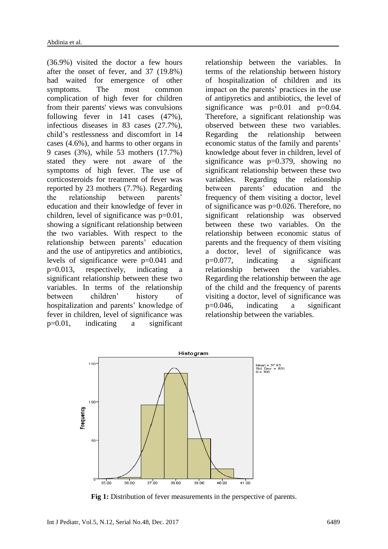(36.9%) visited the doctor a few hours after the onset of fever, and 37 (19.8%) had waited for emergence of other symptoms. The most common complication of high fever for children from their parents' views was convulsions following fever in 141 cases (47%), infectious diseases in 83 cases (27.7%), child's restlessness and discomfort in 14 cases (4.6%), and harms to other organs in 9 cases (3%), while 53 mothers (17.7%) stated they were not aware of the symptoms of high fever. The use of corticosteroids for treatment of fever was reported by 23 mothers (7.7%). Regarding the relationship between parents' education and their knowledge of fever in children, level of significance was p=0.01, showing a significant relationship between the two variables. With respect to the relationship between parents' education and the use of antipyretics and antibiotics, levels of significance were p=0.041 and p=0.013, respectively, indicating a significant relationship between these two variables. In terms of the relationship between children' history of hospitalization and parents' knowledge of fever in children, level of significance was p=0.01, indicating a significant

relationship between the variables. In terms of the relationship between history of hospitalization of children and its impact on the parents' practices in the use of antipyretics and antibiotics, the level of significance was  $p=0.01$  and  $p=0.04$ . Therefore, a significant relationship was observed between these two variables. Regarding the relationship between economic status of the family and parents' knowledge about fever in children, level of significance was p=0.379, showing no significant relationship between these two variables. Regarding the relationship between parents' education and the frequency of them visiting a doctor, level of significance was p=0.026. Therefore, no significant relationship was observed between these two variables. On the relationship between economic status of parents and the frequency of them visiting a doctor, level of significance was p=0.077, indicating a significant relationship between the variables. Regarding the relationship between the age of the child and the frequency of parents visiting a doctor, level of significance was p=0.046, indicating a significant relationship between the variables.



**Fig 1:** Distribution of fever measurements in the perspective of parents.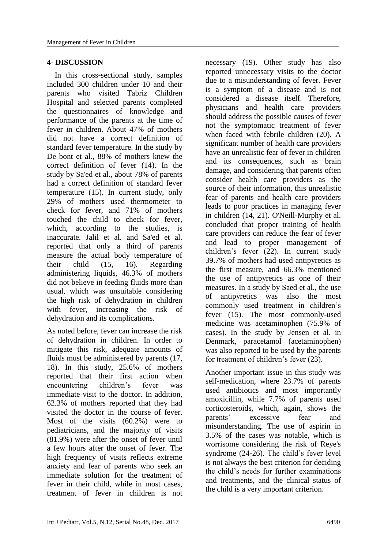#### **4- DISCUSSION**

 In this cross-sectional study, samples included 300 children under 10 and their parents who visited Tabriz Children Hospital and selected parents completed the questionnaires of knowledge and performance of the parents at the time of fever in children. About 47% of mothers did not have a correct definition of standard fever temperature. In the study by De bont et al., 88% of mothers knew the correct definition of fever (14). In the study by Sa'ed et al., about 78% of parents had a correct definition of standard fever temperature (15). In current study, only 29% of mothers used thermometer to check for fever, and 71% of mothers touched the child to check for fever, which, according to the studies, is inaccurate. Jalil et al. and Sa'ed et al. reported that only a third of parents measure the actual body temperature of their child (15, 16). Regarding administering liquids, 46.3% of mothers did not believe in feeding fluids more than usual, which was unsuitable considering the high risk of dehydration in children with fever, increasing the risk of dehydration and its complications.

As noted before, fever can increase the risk of dehydration in children. In order to mitigate this risk, adequate amounts of fluids must be administered by parents (17, 18). In this study, 25.6% of mothers reported that their first action when encountering children's fever was immediate visit to the doctor. In addition, 62.3% of mothers reported that they had visited the doctor in the course of fever. Most of the visits (60.2%) were to pediatricians, and the majority of visits (81.9%) were after the onset of fever until a few hours after the onset of fever. The high frequency of visits reflects extreme anxiety and fear of parents who seek an immediate solution for the treatment of fever in their child, while in most cases, treatment of fever in children is not

necessary (19). Other study has also reported unnecessary visits to the doctor due to a misunderstanding of fever. Fever is a symptom of a disease and is not considered a disease itself. Therefore, physicians and health care providers should address the possible causes of fever not the symptomatic treatment of fever when faced with febrile children (20). A significant number of health care providers have an unrealistic fear of fever in children and its consequences, such as brain damage, and considering that parents often consider health care providers as the source of their information, this unrealistic fear of parents and health care providers leads to poor practices in managing fever in children (14, 21). O'Neill-Murphy et al. concluded that proper training of health care providers can reduce the fear of fever and lead to proper management of children's fever (22). In current study 39.7% of mothers had used antipyretics as the first measure, and 66.3% mentioned the use of antipyretics as one of their measures. In a study by Saed et al., the use of antipyretics was also the most commonly used treatment in children's fever (15). The most commonly-used medicine was acetaminophen (75.9% of cases). In the study by Jensen et al. in Denmark, paracetamol (acetaminophen) was also reported to be used by the parents for treatment of children's fever (23).

Another important issue in this study was self-medication, where 23.7% of parents used antibiotics and most importantly amoxicillin, while 7.7% of parents used corticosteroids, which, again, shows the parents' excessive fear and misunderstanding. The use of aspirin in 3.5% of the cases was notable, which is worrisome considering the risk of Reye's syndrome (24-26). The child's fever level is not always the best criterion for deciding the child's needs for further examinations and treatments, and the clinical status of the child is a very important criterion.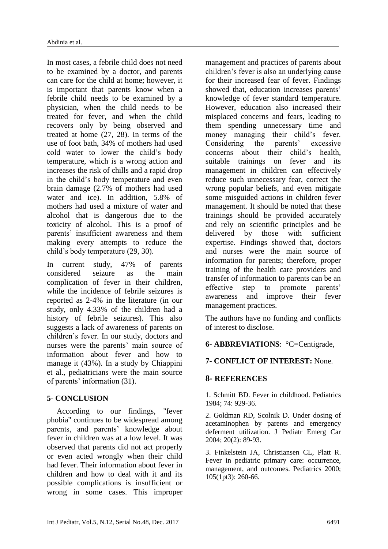In most cases, a febrile child does not need to be examined by a doctor, and parents can care for the child at home; however, it is important that parents know when a febrile child needs to be examined by a physician, when the child needs to be treated for fever, and when the child recovers only by being observed and treated at home (27, 28). In terms of the use of foot bath, 34% of mothers had used cold water to lower the child's body temperature, which is a wrong action and increases the risk of chills and a rapid drop in the child's body temperature and even brain damage (2.7% of mothers had used water and ice). In addition, 5.8% of mothers had used a mixture of water and alcohol that is dangerous due to the toxicity of alcohol. This is a proof of parents' insufficient awareness and them making every attempts to reduce the child's body temperature (29, 30).

In current study, 47% of parents considered seizure as the main complication of fever in their children, while the incidence of febrile seizures is reported as 2-4% in the literature (in our study, only 4.33% of the children had a history of febrile seizures). This also suggests a lack of awareness of parents on children's fever. In our study, doctors and nurses were the parents' main source of information about fever and how to manage it (43%). In a study by Chiappini et al., pediatricians were the main source of parents' information (31).

# **5- CONCLUSION**

 According to our findings, "fever phobia" continues to be widespread among parents, and parents' knowledge about fever in children was at a low level. It was observed that parents did not act properly or even acted wrongly when their child had fever. Their information about fever in children and how to deal with it and its possible complications is insufficient or wrong in some cases. This improper management and practices of parents about children's fever is also an underlying cause for their increased fear of fever. Findings showed that, education increases parents' knowledge of fever standard temperature. However, education also increased their misplaced concerns and fears, leading to them spending unnecessary time and money managing their child's fever. Considering the parents' excessive concerns about their child's health, suitable trainings on fever and its management in children can effectively reduce such unnecessary fear, correct the wrong popular beliefs, and even mitigate some misguided actions in children fever management. It should be noted that these trainings should be provided accurately and rely on scientific principles and be delivered by those with sufficient expertise. Findings showed that, doctors and nurses were the main source of information for parents; therefore, proper training of the health care providers and transfer of information to parents can be an effective step to promote parents' awareness and improve their fever management practices.

The authors have no funding and conflicts of interest to disclose.

# **6- ABBREVIATIONS**: °C=Centigrade,

# **7- CONFLICT OF INTEREST:** None.

### **8- REFERENCES**

1. Schmitt BD. Fever in childhood. Pediatrics 1984; 74: 929-36.

2. Goldman RD, Scolnik D. Under dosing of acetaminophen by parents and emergency deferment utilization. J Pediatr Emerg Car 2004; 20(2): 89-93.

3. Finkelstein JA, Christiansen CL, Platt R. Fever in pediatric primary care: occurrence, management, and outcomes. Pediatrics 2000; 105(1pt3): 260-66.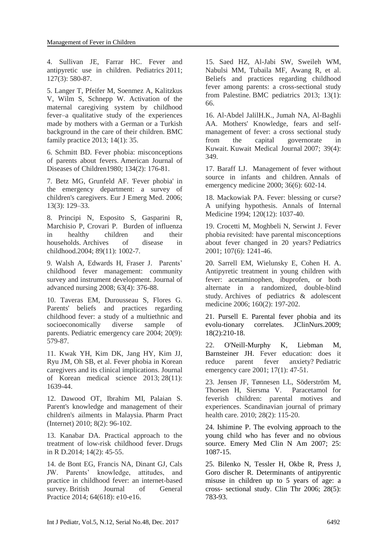4. Sullivan JE, Farrar HC. Fever and antipyretic use in children. Pediatrics 2011; 127(3): 580-87.

5. Langer T, Pfeifer M, Soenmez A, Kalitzkus V, Wilm S, Schnepp W. Activation of the maternal caregiving system by childhood fever–a qualitative study of the experiences made by mothers with a German or a Turkish background in the care of their children. BMC family practice 2013; 14(1): 35.

6. Schmitt BD. Fever phobia: misconceptions of parents about fevers. American Journal of Diseases of Children1980; 134(2): 176-81.

7. Betz MG, Grunfeld AF. 'Fever phobia' in the emergency department: a survey of children's caregivers. Eur J Emerg Med. 2006; 13(3): 129–33.

8. Principi N, Esposito S, Gasparini R, Marchisio P, Crovari P. Burden of influenza in healthy children and their households. Archives of disease in childhood.2004; 89(11): 1002-7.

9. Walsh A, Edwards H, Fraser J. Parents' childhood fever management: community survey and instrument development. Journal of advanced nursing 2008; 63(4): 376-88.

10. Taveras EM, Durousseau S, Flores G. Parents' beliefs and practices regarding childhood fever: a study of a multiethnic and socioeconomically diverse sample of parents. Pediatric emergency care 2004; 20(9): 579-87.

11. Kwak YH, Kim DK, Jang HY, Kim JJ, Ryu JM, Oh SB, et al. Fever phobia in Korean caregivers and its clinical implications. Journal of Korean medical science 2013; 28(11): 1639-44.

12. Dawood OT, Ibrahim MI, Palaian S. Parent's knowledge and management of their children's ailments in Malaysia. Pharm Pract (Internet) 2010; 8(2): 96-102.

13. Kanabar DA. Practical approach to the treatment of low-risk childhood fever. Drugs in R D.2014; 14(2): 45-55.

14. de Bont EG, Francis NA, Dinant GJ, Cals JW. Parents' knowledge, attitudes, and practice in childhood fever: an internet-based survey. British Journal of General Practice 2014; 64(618): e10-e16.

15. Saed HZ, Al-Jabi SW, Sweileh WM, Nabulsi MM, Tubaila MF, Awang R, et al. Beliefs and practices regarding childhood fever among parents: a cross-sectional study from Palestine. BMC pediatrics 2013; 13(1): 66.

16. Al-Abdel JalilH.K., Jumah NA, Al-Baghli AA. Mothers' Knowledge, fears and selfmanagement of fever: a cross sectional study from the capital governorate in Kuwait. Kuwait Medical Journal 2007; 39(4): 349.

17. Baraff LJ. Management of fever without source in infants and children. Annals of emergency medicine 2000; 36(6): 602-14.

18. Mackowiak PA. Fever: blessing or curse? A unifying hypothesis. Annals of Internal Medicine 1994; 120(12): 1037-40.

19. Crocetti M, Moghbeli N, Serwint J. Fever phobia revisited: have parental misconceptions about fever changed in 20 years? Pediatrics 2001; 107(6): 1241-46.

20. Sarrell EM, Wielunsky E, Cohen H. A. Antipyretic treatment in young children with fever: acetaminophen, ibuprofen, or both alternate in a randomized, double-blind study. Archives of pediatrics & adolescent medicine 2006; 160(2): 197-202.

21. Pursell E. Parental fever phobia and its evolu-tionary correlates. JClinNurs.2009; 18(2):210-18.

22. [O'Neill-Murphy K,](https://www.ncbi.nlm.nih.gov/pubmed/?term=O%27Neill-Murphy%20K%5BAuthor%5D&cauthor=true&cauthor_uid=11265909) [Liebman M,](https://www.ncbi.nlm.nih.gov/pubmed/?term=Liebman%20M%5BAuthor%5D&cauthor=true&cauthor_uid=11265909) [Barnsteiner JH.](https://www.ncbi.nlm.nih.gov/pubmed/?term=Barnsteiner%20JH%5BAuthor%5D&cauthor=true&cauthor_uid=11265909) Fever education: does it reduce parent fever anxiety? Pediatric emergency care 2001; 17(1): 47-51.

23. Jensen JF, Tønnesen LL, Söderström M, Thorsen H, Siersma V. Paracetamol for feverish children: parental motives and experiences. Scandinavian journal of primary health care. 2010; 28(2): 115-20.

24. Ishimine P. The evolving approach to the young child who has fever and no obvious source. Emery Med Clin N Am 2007; 25: 1087-15.

25. Bilenko N, Tessler H, Okbe R, Press J, Goro discher R. Determinants of antipyrentic misuse in children up to 5 years of age: a cross- sectional study. Clin Thr 2006; 28(5): 783-93.